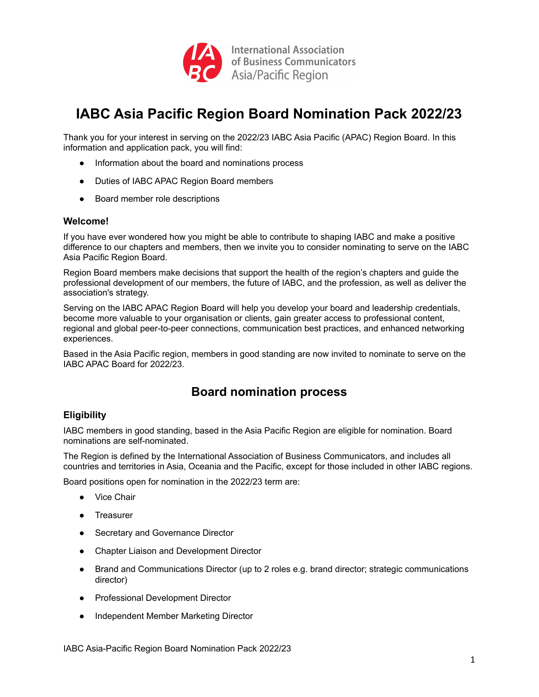

# **IABC Asia Pacific Region Board Nomination Pack 2022/23**

Thank you for your interest in serving on the 2022/23 IABC Asia Pacific (APAC) Region Board. In this information and application pack, you will find:

- Information about the board and nominations process
- Duties of IABC APAC Region Board members
- Board member role descriptions

#### **Welcome!**

If you have ever wondered how you might be able to contribute to shaping IABC and make a positive difference to our chapters and members, then we invite you to consider nominating to serve on the IABC Asia Pacific Region Board.

Region Board members make decisions that support the health of the region's chapters and guide the professional development of our members, the future of IABC, and the profession, as well as deliver the association's strategy.

Serving on the IABC APAC Region Board will help you develop your board and leadership credentials, become more valuable to your organisation or clients, gain greater access to professional content, regional and global peer-to-peer connections, communication best practices, and enhanced networking experiences.

Based in the Asia Pacific region, members in good standing are now invited to nominate to serve on the IABC APAC Board for 2022/23.

# **Board nomination process**

## **Eligibility**

IABC members in good standing, based in the Asia Pacific Region are eligible for nomination. Board nominations are self-nominated.

The Region is defined by the International Association of Business Communicators, and includes all countries and territories in Asia, Oceania and the Pacific, except for those included in other IABC regions.

Board positions open for nomination in the 2022/23 term are:

- **Vice Chair**
- **Treasurer**
- Secretary and Governance Director
- Chapter Liaison and Development Director
- Brand and Communications Director (up to 2 roles e.g. brand director; strategic communications director)
- **Professional Development Director**
- Independent Member Marketing Director

IABC Asia-Pacific Region Board Nomination Pack 2022/23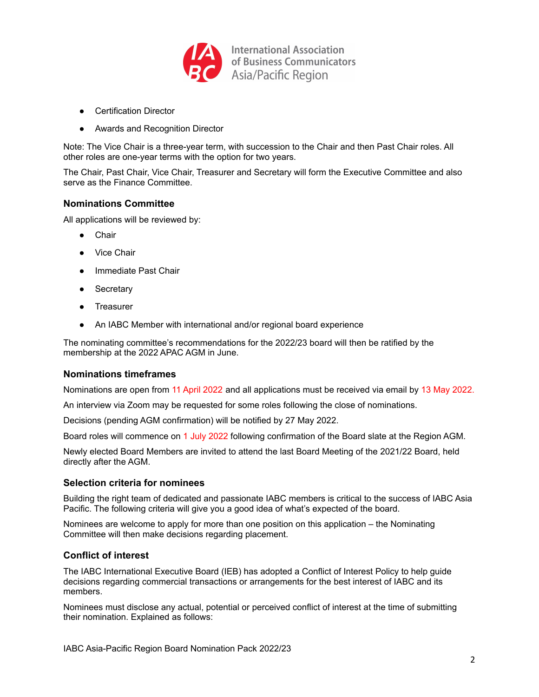

- Certification Director
- Awards and Recognition Director

Note: The Vice Chair is a three-year term, with succession to the Chair and then Past Chair roles. All other roles are one-year terms with the option for two years.

The Chair, Past Chair, Vice Chair, Treasurer and Secretary will form the Executive Committee and also serve as the Finance Committee.

## **Nominations Committee**

All applications will be reviewed by:

- Chair
- **Vice Chair**
- Immediate Past Chair
- Secretary
- **Treasurer**
- An IABC Member with international and/or regional board experience

The nominating committee's recommendations for the 2022/23 board will then be ratified by the membership at the 2022 APAC AGM in June.

## **Nominations timeframes**

Nominations are open from 11 April 2022 and all applications must be received via email by 13 May 2022.

An interview via Zoom may be requested for some roles following the close of nominations.

Decisions (pending AGM confirmation) will be notified by 27 May 2022.

Board roles will commence on 1 July 2022 following confirmation of the Board slate at the Region AGM.

Newly elected Board Members are invited to attend the last Board Meeting of the 2021/22 Board, held directly after the AGM.

## **Selection criteria for nominees**

Building the right team of dedicated and passionate IABC members is critical to the success of IABC Asia Pacific. The following criteria will give you a good idea of what's expected of the board.

Nominees are welcome to apply for more than one position on this application – the Nominating Committee will then make decisions regarding placement.

## **Conflict of interest**

The IABC International Executive Board (IEB) has adopted a Conflict of Interest Policy to help guide decisions regarding commercial transactions or arrangements for the best interest of IABC and its members.

Nominees must disclose any actual, potential or perceived conflict of interest at the time of submitting their nomination. Explained as follows: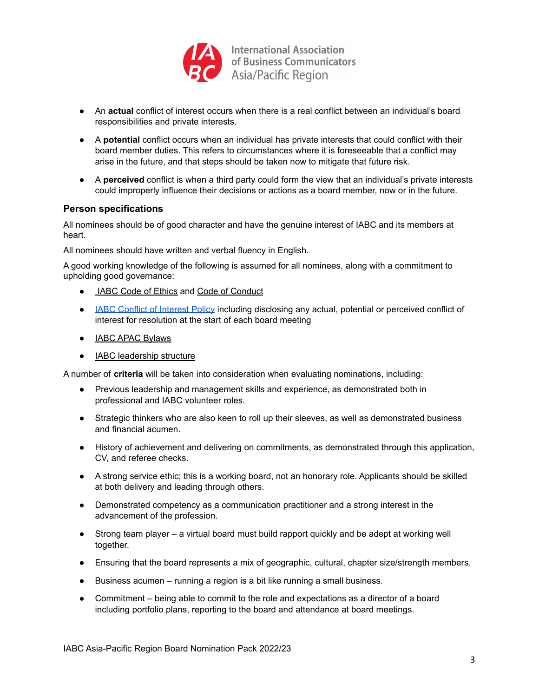

- An **actual** conflict of interest occurs when there is a real conflict between an individual's board responsibilities and private interests.
- A **potential** conflict occurs when an individual has private interests that could conflict with their board member duties. This refers to circumstances where it is foreseeable that a conflict may arise in the future, and that steps should be taken now to mitigate that future risk.
- A **perceived** conflict is when a third party could form the view that an individual's private interests could improperly influence their decisions or actions as a board member, now or in the future.

## **Person specifications**

All nominees should be of good character and have the genuine interest of IABC and its members at heart.

All nominees should have written and verbal fluency in English.

A good working knowledge of the following is assumed for all nominees, along with a commitment to upholding good governance:

- IABC Code of [Ethics](https://www.iabc.com/About/Purpose/Code-of-Ethics) and Code of [Conduct](https://www.iabc.com/About/Purpose/IABC-Code-of-Conduct)
- **IABC Conflict of [Interest](https://www.iabc.com/portals/0/docs/about/IABC-Conflict-of-Interest-Policy-Disclosure-and-Acknowledgement-Statement_Updated-2015-01-06.pdf) Policy including disclosing any actual, potential or perceived conflict of** interest for resolution at the start of each board meeting
- IABC APAC [Bylaws](https://www.iabcapac.com/wp-content/uploads/2021/01/IABC-APAC-Bylaws-2020.pdf)
- IABC [leadership](https://www.iabc.com/About/Team/Board) structure

A number of **criteria** will be taken into consideration when evaluating nominations, including:

- Previous leadership and management skills and experience, as demonstrated both in professional and IABC volunteer roles.
- Strategic thinkers who are also keen to roll up their sleeves, as well as demonstrated business and financial acumen.
- History of achievement and delivering on commitments, as demonstrated through this application, CV, and referee checks.
- A strong service ethic; this is a working board, not an honorary role. Applicants should be skilled at both delivery and leading through others.
- Demonstrated competency as a communication practitioner and a strong interest in the advancement of the profession.
- Strong team player a virtual board must build rapport quickly and be adept at working well together.
- Ensuring that the board represents a mix of geographic, cultural, chapter size/strength members.
- Business acumen running a region is a bit like running a small business.
- Commitment being able to commit to the role and expectations as a director of a board including portfolio plans, reporting to the board and attendance at board meetings.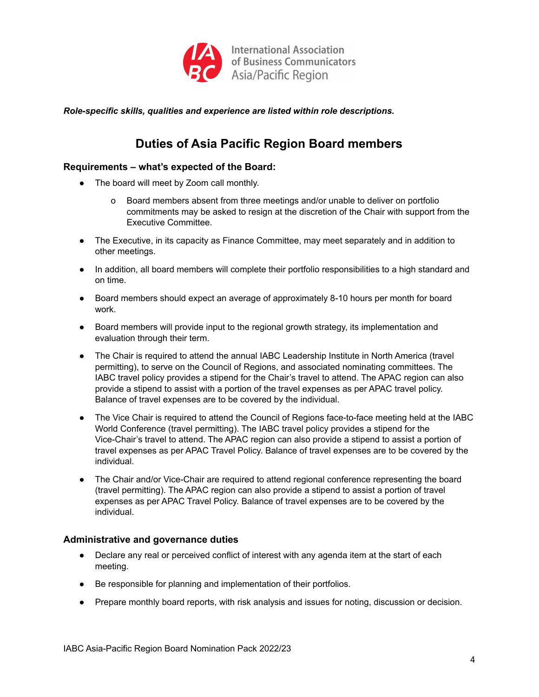

*Role-specific skills, qualities and experience are listed within role descriptions.*

# **Duties of Asia Pacific Region Board members**

## **Requirements – what's expected of the Board:**

- The board will meet by Zoom call monthly.
	- o Board members absent from three meetings and/or unable to deliver on portfolio commitments may be asked to resign at the discretion of the Chair with support from the Executive Committee.
- The Executive, in its capacity as Finance Committee, may meet separately and in addition to other meetings.
- In addition, all board members will complete their portfolio responsibilities to a high standard and on time.
- Board members should expect an average of approximately 8-10 hours per month for board work.
- Board members will provide input to the regional growth strategy, its implementation and evaluation through their term.
- The Chair is required to attend the annual IABC Leadership Institute in North America (travel permitting), to serve on the Council of Regions, and associated nominating committees. The IABC travel policy provides a stipend for the Chair's travel to attend. The APAC region can also provide a stipend to assist with a portion of the travel expenses as per APAC travel policy. Balance of travel expenses are to be covered by the individual.
- The Vice Chair is required to attend the Council of Regions face-to-face meeting held at the IABC World Conference (travel permitting). The IABC travel policy provides a stipend for the Vice-Chair's travel to attend. The APAC region can also provide a stipend to assist a portion of travel expenses as per APAC Travel Policy. Balance of travel expenses are to be covered by the individual.
- The Chair and/or Vice-Chair are required to attend regional conference representing the board (travel permitting). The APAC region can also provide a stipend to assist a portion of travel expenses as per APAC Travel Policy. Balance of travel expenses are to be covered by the individual.

## **Administrative and governance duties**

- Declare any real or perceived conflict of interest with any agenda item at the start of each meeting.
- Be responsible for planning and implementation of their portfolios.
- Prepare monthly board reports, with risk analysis and issues for noting, discussion or decision.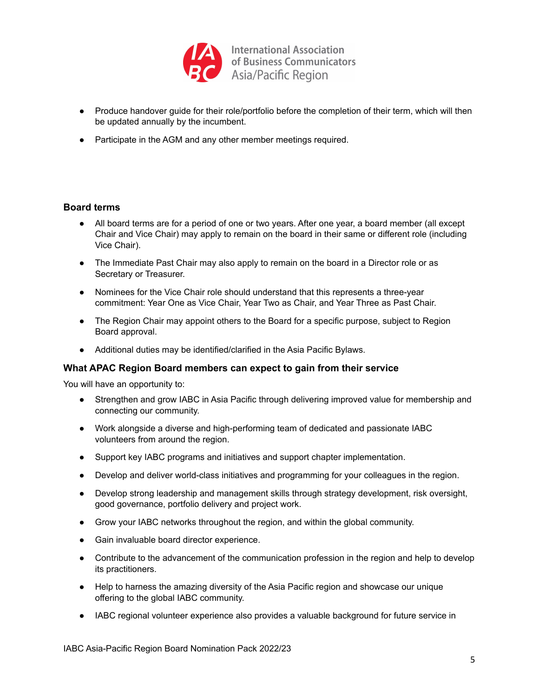

- Produce handover guide for their role/portfolio before the completion of their term, which will then be updated annually by the incumbent.
- Participate in the AGM and any other member meetings required.

## **Board terms**

- All board terms are for a period of one or two years. After one year, a board member (all except Chair and Vice Chair) may apply to remain on the board in their same or different role (including Vice Chair).
- The Immediate Past Chair may also apply to remain on the board in a Director role or as Secretary or Treasurer.
- Nominees for the Vice Chair role should understand that this represents a three-year commitment: Year One as Vice Chair, Year Two as Chair, and Year Three as Past Chair.
- The Region Chair may appoint others to the Board for a specific purpose, subject to Region Board approval.
- Additional duties may be identified/clarified in the Asia Pacific Bylaws.

## **What APAC Region Board members can expect to gain from their service**

You will have an opportunity to:

- Strengthen and grow IABC in Asia Pacific through delivering improved value for membership and connecting our community.
- Work alongside a diverse and high-performing team of dedicated and passionate IABC volunteers from around the region.
- Support key IABC programs and initiatives and support chapter implementation.
- Develop and deliver world-class initiatives and programming for your colleagues in the region.
- Develop strong leadership and management skills through strategy development, risk oversight, good governance, portfolio delivery and project work.
- Grow your IABC networks throughout the region, and within the global community.
- Gain invaluable board director experience.
- Contribute to the advancement of the communication profession in the region and help to develop its practitioners.
- Help to harness the amazing diversity of the Asia Pacific region and showcase our unique offering to the global IABC community.
- IABC regional volunteer experience also provides a valuable background for future service in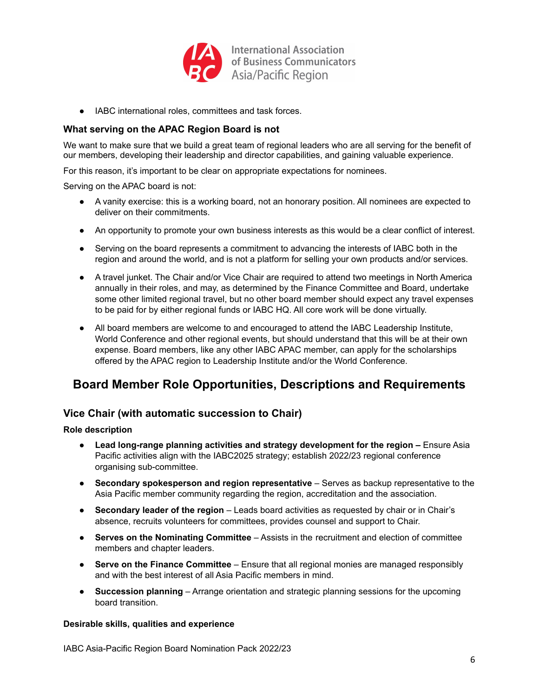

● IABC international roles, committees and task forces.

## **What serving on the APAC Region Board is not**

We want to make sure that we build a great team of regional leaders who are all serving for the benefit of our members, developing their leadership and director capabilities, and gaining valuable experience.

For this reason, it's important to be clear on appropriate expectations for nominees.

Serving on the APAC board is not:

- A vanity exercise: this is a working board, not an honorary position. All nominees are expected to deliver on their commitments.
- An opportunity to promote your own business interests as this would be a clear conflict of interest.
- Serving on the board represents a commitment to advancing the interests of IABC both in the region and around the world, and is not a platform for selling your own products and/or services.
- A travel junket. The Chair and/or Vice Chair are required to attend two meetings in North America annually in their roles, and may, as determined by the Finance Committee and Board, undertake some other limited regional travel, but no other board member should expect any travel expenses to be paid for by either regional funds or IABC HQ. All core work will be done virtually.
- All board members are welcome to and encouraged to attend the IABC Leadership Institute, World Conference and other regional events, but should understand that this will be at their own expense. Board members, like any other IABC APAC member, can apply for the scholarships offered by the APAC region to Leadership Institute and/or the World Conference.

# **Board Member Role Opportunities, Descriptions and Requirements**

## **Vice Chair (with automatic succession to Chair)**

## **Role description**

- **● Lead long-range planning activities and strategy development for the region –** Ensure Asia Pacific activities align with the IABC2025 strategy; establish 2022/23 regional conference organising sub-committee.
- **Secondary spokesperson and region representative** Serves as backup representative to the Asia Pacific member community regarding the region, accreditation and the association.
- **Secondary leader of the region** Leads board activities as requested by chair or in Chair's absence, recruits volunteers for committees, provides counsel and support to Chair.
- **Serves on the Nominating Committee** Assists in the recruitment and election of committee members and chapter leaders.
- **Serve on the Finance Committee** Ensure that all regional monies are managed responsibly and with the best interest of all Asia Pacific members in mind.
- **Succession planning** Arrange orientation and strategic planning sessions for the upcoming board transition.

## **Desirable skills, qualities and experience**

IABC Asia-Pacific Region Board Nomination Pack 2022/23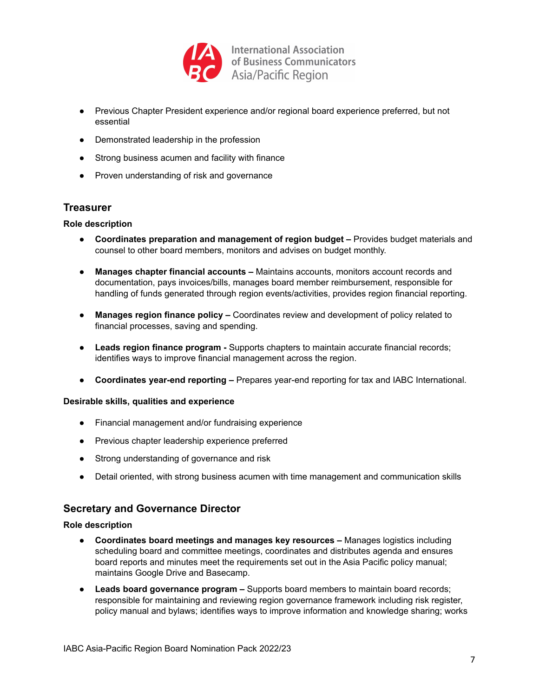

- Previous Chapter President experience and/or regional board experience preferred, but not essential
- Demonstrated leadership in the profession
- Strong business acumen and facility with finance
- Proven understanding of risk and governance

## **Treasurer**

## **Role description**

- **Coordinates preparation and management of region budget –** Provides budget materials and counsel to other board members, monitors and advises on budget monthly.
- **Manages chapter financial accounts –** Maintains accounts, monitors account records and documentation, pays invoices/bills, manages board member reimbursement, responsible for handling of funds generated through region events/activities, provides region financial reporting.
- **Manages region finance policy –** Coordinates review and development of policy related to financial processes, saving and spending.
- **Leads region finance program -** Supports chapters to maintain accurate financial records; identifies ways to improve financial management across the region.
- **Coordinates year-end reporting –** Prepares year-end reporting for tax and IABC International.

## **Desirable skills, qualities and experience**

- Financial management and/or fundraising experience
- Previous chapter leadership experience preferred
- Strong understanding of governance and risk
- Detail oriented, with strong business acumen with time management and communication skills

## **Secretary and Governance Director**

#### **Role description**

- **Coordinates board meetings and manages key resources –** Manages logistics including scheduling board and committee meetings, coordinates and distributes agenda and ensures board reports and minutes meet the requirements set out in the Asia Pacific policy manual; maintains Google Drive and Basecamp.
- **Leads board governance program –** Supports board members to maintain board records; responsible for maintaining and reviewing region governance framework including risk register, policy manual and bylaws; identifies ways to improve information and knowledge sharing; works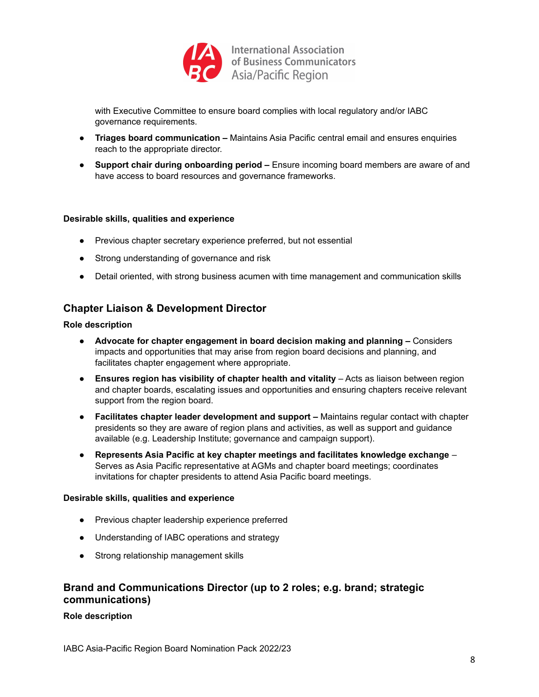

with Executive Committee to ensure board complies with local regulatory and/or IABC governance requirements.

- **Triages board communication –** Maintains Asia Pacific central email and ensures enquiries reach to the appropriate director.
- **Support chair during onboarding period –** Ensure incoming board members are aware of and have access to board resources and governance frameworks.

#### **Desirable skills, qualities and experience**

- Previous chapter secretary experience preferred, but not essential
- Strong understanding of governance and risk
- Detail oriented, with strong business acumen with time management and communication skills

## **Chapter Liaison & Development Director**

#### **Role description**

- **Advocate for chapter engagement in board decision making and planning –** Considers impacts and opportunities that may arise from region board decisions and planning, and facilitates chapter engagement where appropriate.
- **Ensures region has visibility of chapter health and vitality** Acts as liaison between region and chapter boards, escalating issues and opportunities and ensuring chapters receive relevant support from the region board.
- **Facilitates chapter leader development and support –** Maintains regular contact with chapter presidents so they are aware of region plans and activities, as well as support and guidance available (e.g. Leadership Institute; governance and campaign support).
- **Represents Asia Pacific at key chapter meetings and facilitates knowledge exchange** Serves as Asia Pacific representative at AGMs and chapter board meetings; coordinates invitations for chapter presidents to attend Asia Pacific board meetings.

#### **Desirable skills, qualities and experience**

- Previous chapter leadership experience preferred
- Understanding of IABC operations and strategy
- Strong relationship management skills

## **Brand and Communications Director (up to 2 roles; e.g. brand; strategic communications)**

#### **Role description**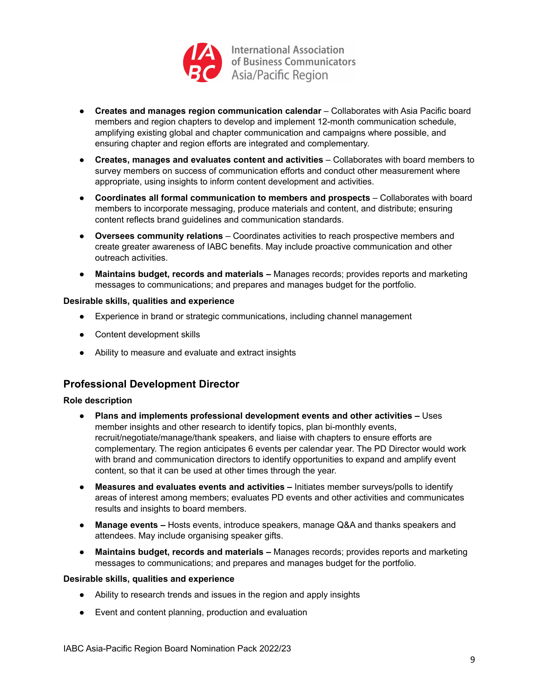

- **Creates and manages region communication calendar** Collaborates with Asia Pacific board members and region chapters to develop and implement 12-month communication schedule, amplifying existing global and chapter communication and campaigns where possible, and ensuring chapter and region efforts are integrated and complementary.
- **Creates, manages and evaluates content and activities** Collaborates with board members to survey members on success of communication efforts and conduct other measurement where appropriate, using insights to inform content development and activities.
- **Coordinates all formal communication to members and prospects** Collaborates with board members to incorporate messaging, produce materials and content, and distribute; ensuring content reflects brand guidelines and communication standards.
- **Oversees community relations** Coordinates activities to reach prospective members and create greater awareness of IABC benefits. May include proactive communication and other outreach activities.
- **Maintains budget, records and materials –** Manages records; provides reports and marketing messages to communications; and prepares and manages budget for the portfolio.

## **Desirable skills, qualities and experience**

- Experience in brand or strategic communications, including channel management
- Content development skills
- Ability to measure and evaluate and extract insights

# **Professional Development Director**

## **Role description**

- **Plans and implements professional development events and other activities –** Uses member insights and other research to identify topics, plan bi-monthly events, recruit/negotiate/manage/thank speakers, and liaise with chapters to ensure efforts are complementary. The region anticipates 6 events per calendar year. The PD Director would work with brand and communication directors to identify opportunities to expand and amplify event content, so that it can be used at other times through the year.
- **Measures and evaluates events and activities –** Initiates member surveys/polls to identify areas of interest among members; evaluates PD events and other activities and communicates results and insights to board members.
- **Manage events –** Hosts events, introduce speakers, manage Q&A and thanks speakers and attendees. May include organising speaker gifts.
- **Maintains budget, records and materials –** Manages records; provides reports and marketing messages to communications; and prepares and manages budget for the portfolio.

## **Desirable skills, qualities and experience**

- Ability to research trends and issues in the region and apply insights
- Event and content planning, production and evaluation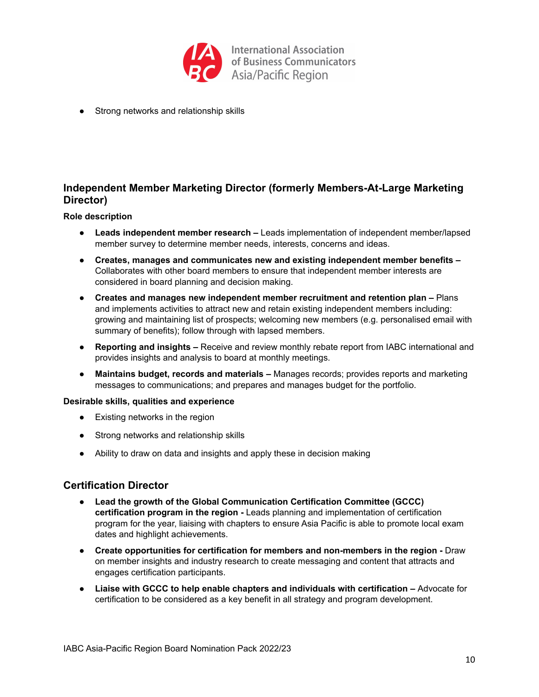

● Strong networks and relationship skills

# **Independent Member Marketing Director (formerly Members-At-Large Marketing Director)**

#### **Role description**

- **Leads independent member research –** Leads implementation of independent member/lapsed member survey to determine member needs, interests, concerns and ideas.
- **Creates, manages and communicates new and existing independent member benefits –** Collaborates with other board members to ensure that independent member interests are considered in board planning and decision making.
- **● Creates and manages new independent member recruitment and retention plan –** Plans and implements activities to attract new and retain existing independent members including: growing and maintaining list of prospects; welcoming new members (e.g. personalised email with summary of benefits); follow through with lapsed members.
- **Reporting and insights –** Receive and review monthly rebate report from IABC international and provides insights and analysis to board at monthly meetings.
- **Maintains budget, records and materials –** Manages records; provides reports and marketing messages to communications; and prepares and manages budget for the portfolio.

#### **Desirable skills, qualities and experience**

- Existing networks in the region
- Strong networks and relationship skills
- Ability to draw on data and insights and apply these in decision making

## **Certification Director**

- **● Lead the growth of the Global Communication Certification Committee (GCCC) certification program in the region -** Leads planning and implementation of certification program for the year, liaising with chapters to ensure Asia Pacific is able to promote local exam dates and highlight achievements.
- **Create opportunities for certification for members and non-members in the region -** Draw on member insights and industry research to create messaging and content that attracts and engages certification participants.
- **Liaise with GCCC to help enable chapters and individuals with certification –** Advocate for certification to be considered as a key benefit in all strategy and program development.